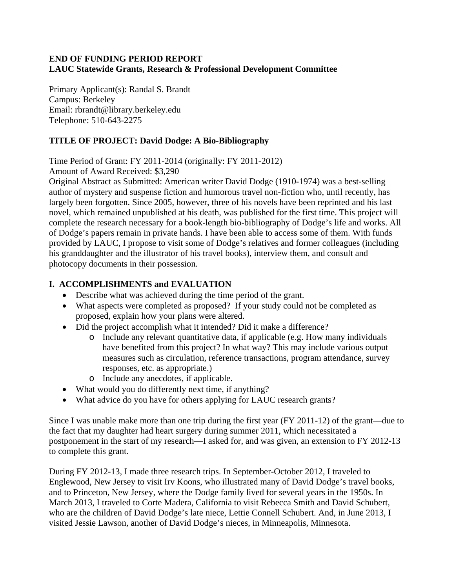### **END OF FUNDING PERIOD REPORT LAUC Statewide Grants, Research & Professional Development Committee**

Primary Applicant(s): Randal S. Brandt Campus: Berkeley Email: rbrandt@library.berkeley.edu Telephone: 510-643-2275

## **TITLE OF PROJECT: David Dodge: A Bio-Bibliography**

Time Period of Grant: FY 2011-2014 (originally: FY 2011-2012)

Amount of Award Received: \$3,290

Original Abstract as Submitted: American writer David Dodge (1910-1974) was a best-selling author of mystery and suspense fiction and humorous travel non-fiction who, until recently, has largely been forgotten. Since 2005, however, three of his novels have been reprinted and his last novel, which remained unpublished at his death, was published for the first time. This project will complete the research necessary for a book-length bio-bibliography of Dodge's life and works. All of Dodge's papers remain in private hands. I have been able to access some of them. With funds provided by LAUC, I propose to visit some of Dodge's relatives and former colleagues (including his granddaughter and the illustrator of his travel books), interview them, and consult and photocopy documents in their possession.

# **I. ACCOMPLISHMENTS and EVALUATION**

- Describe what was achieved during the time period of the grant.
- What aspects were completed as proposed? If your study could not be completed as proposed, explain how your plans were altered.
- Did the project accomplish what it intended? Did it make a difference?
	- o Include any relevant quantitative data, if applicable (e.g. How many individuals have benefited from this project? In what way? This may include various output measures such as circulation, reference transactions, program attendance, survey responses, etc. as appropriate.)
	- o Include any anecdotes, if applicable.
- What would you do differently next time, if anything?
- What advice do you have for others applying for LAUC research grants?

Since I was unable make more than one trip during the first year (FY 2011-12) of the grant—due to the fact that my daughter had heart surgery during summer 2011, which necessitated a postponement in the start of my research—I asked for, and was given, an extension to FY 2012-13 to complete this grant.

During FY 2012-13, I made three research trips. In September-October 2012, I traveled to Englewood, New Jersey to visit Irv Koons, who illustrated many of David Dodge's travel books, and to Princeton, New Jersey, where the Dodge family lived for several years in the 1950s. In March 2013, I traveled to Corte Madera, California to visit Rebecca Smith and David Schubert, who are the children of David Dodge's late niece, Lettie Connell Schubert. And, in June 2013, I visited Jessie Lawson, another of David Dodge's nieces, in Minneapolis, Minnesota.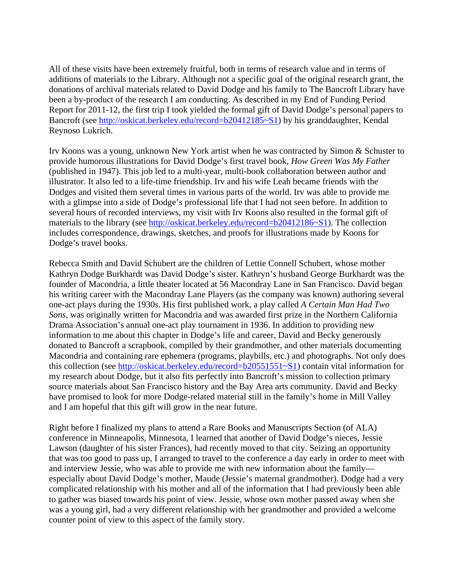All of these visits have been extremely fruitful, both in terms of research value and in terms of additions of materials to the Library. Although not a specific goal of the original research grant, the donations of archival materials related to David Dodge and his family to The Bancroft Library have been a by-product of the research I am conducting. As described in my End of Funding Period Report for 2011-12, the first trip I took yielded the formal gift of David Dodge's personal papers to Bancroft (see http://oskicat.berkeley.edu/record=b20412185~S1) by his granddaughter, Kendal Reynoso Lukrich.

Irv Koons was a young, unknown New York artist when he was contracted by Simon & Schuster to provide humorous illustrations for David Dodge's first travel book, *How Green Was My Father* (published in 1947). This job led to a multi-year, multi-book collaboration between author and illustrator. It also led to a life-time friendship. Irv and his wife Leah became friends with the Dodges and visited them several times in various parts of the world. Irv was able to provide me with a glimpse into a side of Dodge's professional life that I had not seen before. In addition to several hours of recorded interviews, my visit with Irv Koons also resulted in the formal gift of materials to the library (see http://oskicat.berkeley.edu/record=b20412186~S1). The collection includes correspondence, drawings, sketches, and proofs for illustrations made by Koons for Dodge's travel books.

Rebecca Smith and David Schubert are the children of Lettie Connell Schubert, whose mother Kathryn Dodge Burkhardt was David Dodge's sister. Kathryn's husband George Burkhardt was the founder of Macondria, a little theater located at 56 Macondray Lane in San Francisco. David began his writing career with the Macondray Lane Players (as the company was known) authoring several one-act plays during the 1930s. His first published work, a play called *A Certain Man Had Two Sons*, was originally written for Macondria and was awarded first prize in the Northern California Drama Association's annual one-act play tournament in 1936. In addition to providing new information to me about this chapter in Dodge's life and career, David and Becky generously donated to Bancroft a scrapbook, compiled by their grandmother, and other materials documenting Macondria and containing rare ephemera (programs, playbills, etc.) and photographs. Not only does this collection (see http://oskicat.berkeley.edu/record=b20551551~S1) contain vital information for my research about Dodge, but it also fits perfectly into Bancroft's mission to collection primary source materials about San Francisco history and the Bay Area arts community. David and Becky have promised to look for more Dodge-related material still in the family's home in Mill Valley and I am hopeful that this gift will grow in the near future.

Right before I finalized my plans to attend a Rare Books and Manuscripts Section (of ALA) conference in Minneapolis, Minnesota, I learned that another of David Dodge's nieces, Jessie Lawson (daughter of his sister Frances), had recently moved to that city. Seizing an opportunity that was too good to pass up, I arranged to travel to the conference a day early in order to meet with and interview Jessie, who was able to provide me with new information about the family especially about David Dodge's mother, Maude (Jessie's maternal grandmother). Dodge had a very complicated relationship with his mother and all of the information that I had previously been able to gather was biased towards his point of view. Jessie, whose own mother passed away when she was a young girl, had a very different relationship with her grandmother and provided a welcome counter point of view to this aspect of the family story.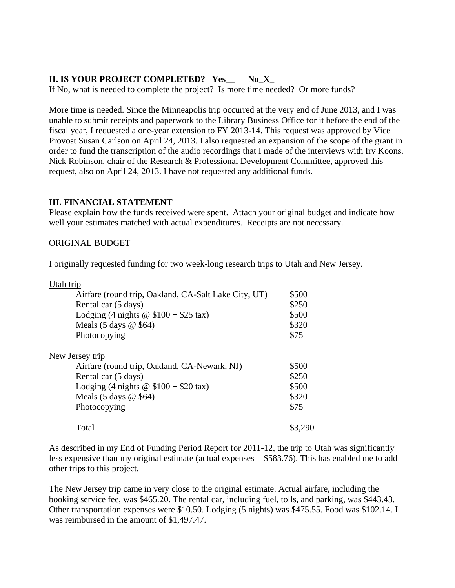### **II. IS YOUR PROJECT COMPLETED? Yes\_\_ No\_X\_**

If No, what is needed to complete the project? Is more time needed? Or more funds?

More time is needed. Since the Minneapolis trip occurred at the very end of June 2013, and I was unable to submit receipts and paperwork to the Library Business Office for it before the end of the fiscal year, I requested a one-year extension to FY 2013-14. This request was approved by Vice Provost Susan Carlson on April 24, 2013. I also requested an expansion of the scope of the grant in order to fund the transcription of the audio recordings that I made of the interviews with Irv Koons. Nick Robinson, chair of the Research & Professional Development Committee, approved this request, also on April 24, 2013. I have not requested any additional funds.

#### **III. FINANCIAL STATEMENT**

Please explain how the funds received were spent. Attach your original budget and indicate how well your estimates matched with actual expenditures. Receipts are not necessary.

#### ORIGINAL BUDGET

I originally requested funding for two week-long research trips to Utah and New Jersey.

| Utah trip                                            |         |
|------------------------------------------------------|---------|
| Airfare (round trip, Oakland, CA-Salt Lake City, UT) | \$500   |
| Rental car (5 days)                                  | \$250   |
| Lodging (4 nights $\omega$ \$100 + \$25 tax)         | \$500   |
| Meals $(5 \text{ days } @$ \$64)                     | \$320   |
| Photocopying                                         | \$75    |
| New Jersey trip                                      |         |
| Airfare (round trip, Oakland, CA-Newark, NJ)         | \$500   |
| Rental car (5 days)                                  | \$250   |
| Lodging (4 nights $\omega$ \$100 + \$20 tax)         | \$500   |
| Meals $(5 \text{ days } @$ \$64)                     | \$320   |
| Photocopying                                         | \$75    |
| Total                                                | \$3,290 |
|                                                      |         |

As described in my End of Funding Period Report for 2011-12, the trip to Utah was significantly less expensive than my original estimate (actual expenses = \$583.76). This has enabled me to add other trips to this project.

The New Jersey trip came in very close to the original estimate. Actual airfare, including the booking service fee, was \$465.20. The rental car, including fuel, tolls, and parking, was \$443.43. Other transportation expenses were \$10.50. Lodging (5 nights) was \$475.55. Food was \$102.14. I was reimbursed in the amount of \$1,497.47.